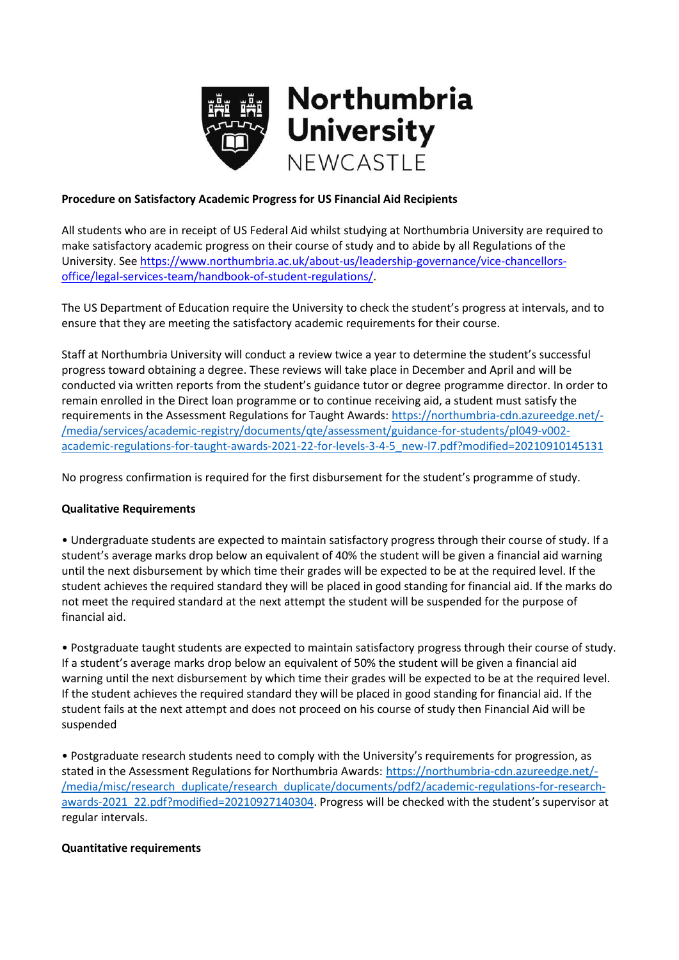

## **Procedure on Satisfactory Academic Progress for US Financial Aid Recipients**

All students who are in receipt of US Federal Aid whilst studying at Northumbria University are required to make satisfactory academic progress on their course of study and to abide by all Regulations of the University. See [https://www.northumbria.ac.uk/about-us/leadership-governance/vice-chancellors](https://www.northumbria.ac.uk/about-us/leadership-governance/vice-chancellors-office/legal-services-team/handbook-of-student-regulations/)[office/legal-services-team/handbook-of-student-regulations/.](https://www.northumbria.ac.uk/about-us/leadership-governance/vice-chancellors-office/legal-services-team/handbook-of-student-regulations/)

The US Department of Education require the University to check the student's progress at intervals, and to ensure that they are meeting the satisfactory academic requirements for their course.

Staff at Northumbria University will conduct a review twice a year to determine the student's successful progress toward obtaining a degree. These reviews will take place in December and April and will be conducted via written reports from the student's guidance tutor or degree programme director. In order to remain enrolled in the Direct loan programme or to continue receiving aid, a student must satisfy the requirements in the Assessment Regulations for Taught Awards: [https://northumbria-cdn.azureedge.net/-](https://northumbria-cdn.azureedge.net/-/media/services/academic-registry/documents/qte/assessment/guidance-for-students/pl049-v002-academic-regulations-for-taught-awards-2021-22-for-levels-3-4-5_new-l7.pdf?modified=20210910145131) [/media/services/academic-registry/documents/qte/assessment/guidance-for-students/pl049-v002](https://northumbria-cdn.azureedge.net/-/media/services/academic-registry/documents/qte/assessment/guidance-for-students/pl049-v002-academic-regulations-for-taught-awards-2021-22-for-levels-3-4-5_new-l7.pdf?modified=20210910145131) [academic-regulations-for-taught-awards-2021-22-for-levels-3-4-5\\_new-l7.pdf?modified=20210910145131](https://northumbria-cdn.azureedge.net/-/media/services/academic-registry/documents/qte/assessment/guidance-for-students/pl049-v002-academic-regulations-for-taught-awards-2021-22-for-levels-3-4-5_new-l7.pdf?modified=20210910145131)

No progress confirmation is required for the first disbursement for the student's programme of study.

# **Qualitative Requirements**

• Undergraduate students are expected to maintain satisfactory progress through their course of study. If a student's average marks drop below an equivalent of 40% the student will be given a financial aid warning until the next disbursement by which time their grades will be expected to be at the required level. If the student achieves the required standard they will be placed in good standing for financial aid. If the marks do not meet the required standard at the next attempt the student will be suspended for the purpose of financial aid.

• Postgraduate taught students are expected to maintain satisfactory progress through their course of study. If a student's average marks drop below an equivalent of 50% the student will be given a financial aid warning until the next disbursement by which time their grades will be expected to be at the required level. If the student achieves the required standard they will be placed in good standing for financial aid. If the student fails at the next attempt and does not proceed on his course of study then Financial Aid will be suspended

• Postgraduate research students need to comply with the University's requirements for progression, as stated in the Assessment Regulations for Northumbria Awards: [https://northumbria-cdn.azureedge.net/-](https://northumbria-cdn.azureedge.net/-/media/misc/research_duplicate/research_duplicate/documents/pdf2/academic-regulations-for-research-awards-2021_22.pdf?modified=20210927140304) [/media/misc/research\\_duplicate/research\\_duplicate/documents/pdf2/academic-regulations-for-research](https://northumbria-cdn.azureedge.net/-/media/misc/research_duplicate/research_duplicate/documents/pdf2/academic-regulations-for-research-awards-2021_22.pdf?modified=20210927140304)[awards-2021\\_22.pdf?modified=20210927140304.](https://northumbria-cdn.azureedge.net/-/media/misc/research_duplicate/research_duplicate/documents/pdf2/academic-regulations-for-research-awards-2021_22.pdf?modified=20210927140304) Progress will be checked with the student's supervisor at regular intervals.

### **Quantitative requirements**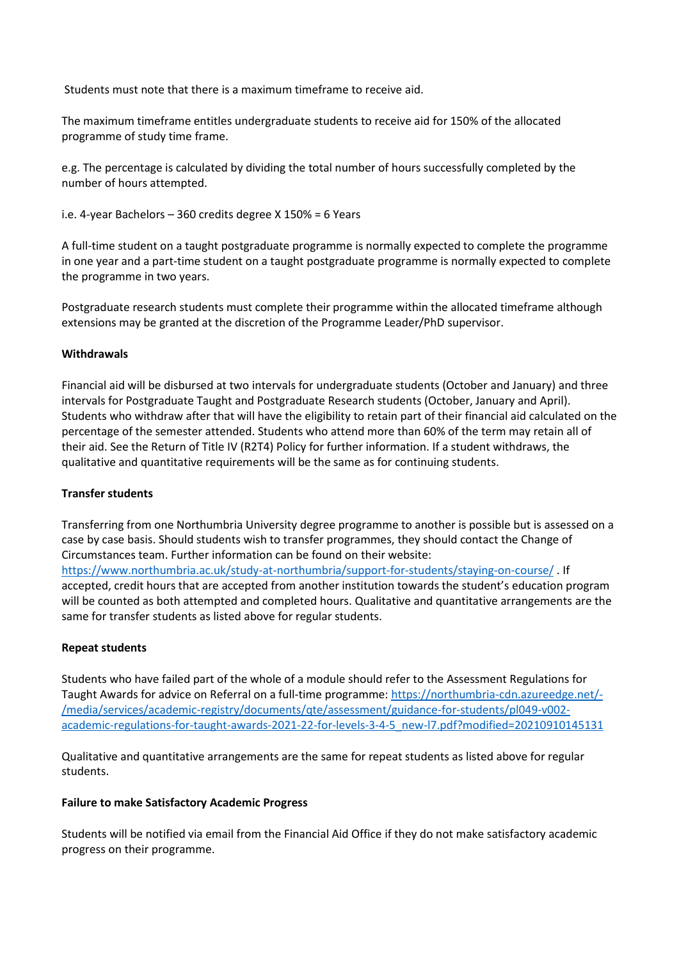Students must note that there is a maximum timeframe to receive aid.

The maximum timeframe entitles undergraduate students to receive aid for 150% of the allocated programme of study time frame.

e.g. The percentage is calculated by dividing the total number of hours successfully completed by the number of hours attempted.

i.e. 4-year Bachelors – 360 credits degree X 150% = 6 Years

A full-time student on a taught postgraduate programme is normally expected to complete the programme in one year and a part-time student on a taught postgraduate programme is normally expected to complete the programme in two years.

Postgraduate research students must complete their programme within the allocated timeframe although extensions may be granted at the discretion of the Programme Leader/PhD supervisor.

### **Withdrawals**

Financial aid will be disbursed at two intervals for undergraduate students (October and January) and three intervals for Postgraduate Taught and Postgraduate Research students (October, January and April). Students who withdraw after that will have the eligibility to retain part of their financial aid calculated on the percentage of the semester attended. Students who attend more than 60% of the term may retain all of their aid. See the Return of Title IV (R2T4) Policy for further information. If a student withdraws, the qualitative and quantitative requirements will be the same as for continuing students.

### **Transfer students**

Transferring from one Northumbria University degree programme to another is possible but is assessed on a case by case basis. Should students wish to transfer programmes, they should contact the Change of Circumstances team. Further information can be found on their website: <https://www.northumbria.ac.uk/study-at-northumbria/support-for-students/staying-on-course/> . If accepted, credit hours that are accepted from another institution towards the student's education program will be counted as both attempted and completed hours. Qualitative and quantitative arrangements are the same for transfer students as listed above for regular students.

# **Repeat students**

Students who have failed part of the whole of a module should refer to the Assessment Regulations for Taught Awards for advice on Referral on a full-time programme: [https://northumbria-cdn.azureedge.net/-](https://northumbria-cdn.azureedge.net/-/media/services/academic-registry/documents/qte/assessment/guidance-for-students/pl049-v002-academic-regulations-for-taught-awards-2021-22-for-levels-3-4-5_new-l7.pdf?modified=20210910145131) [/media/services/academic-registry/documents/qte/assessment/guidance-for-students/pl049-v002](https://northumbria-cdn.azureedge.net/-/media/services/academic-registry/documents/qte/assessment/guidance-for-students/pl049-v002-academic-regulations-for-taught-awards-2021-22-for-levels-3-4-5_new-l7.pdf?modified=20210910145131) [academic-regulations-for-taught-awards-2021-22-for-levels-3-4-5\\_new-l7.pdf?modified=20210910145131](https://northumbria-cdn.azureedge.net/-/media/services/academic-registry/documents/qte/assessment/guidance-for-students/pl049-v002-academic-regulations-for-taught-awards-2021-22-for-levels-3-4-5_new-l7.pdf?modified=20210910145131)

Qualitative and quantitative arrangements are the same for repeat students as listed above for regular students.

### **Failure to make Satisfactory Academic Progress**

Students will be notified via email from the Financial Aid Office if they do not make satisfactory academic progress on their programme.